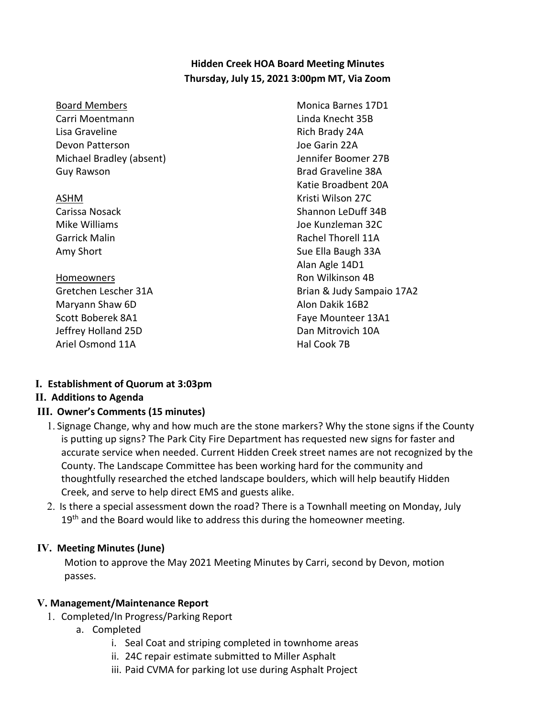### **Hidden Creek HOA Board Meeting Minutes Thursday, July 15, 2021 3:00pm MT, Via Zoom**

| <b>Board Members</b>     | Monica Barnes 17D1        |
|--------------------------|---------------------------|
| Carri Moentmann          | Linda Knecht 35B          |
| Lisa Graveline           | Rich Brady 24A            |
| Devon Patterson          | Joe Garin 22A             |
| Michael Bradley (absent) | Jennifer Boomer 27B       |
| Guy Rawson               | <b>Brad Graveline 38A</b> |
|                          | Katie Broadbent 20A       |
| ASHM                     | Kristi Wilson 27C         |
| Carissa Nosack           | Shannon LeDuff 34B        |
| Mike Williams            | Joe Kunzleman 32C         |
| <b>Garrick Malin</b>     | Rachel Thorell 11A        |
| Amy Short                | Sue Ella Baugh 33A        |
|                          | Alan Agle 14D1            |
| <b>Homeowners</b>        | Ron Wilkinson 4B          |
| Gretchen Lescher 31A     | Brian & Judy Sampaio 17A2 |
| Maryann Shaw 6D          | Alon Dakik 16B2           |
| Scott Boberek 8A1        | Faye Mounteer 13A1        |
| Jeffrey Holland 25D      | Dan Mitrovich 10A         |
| Ariel Osmond 11A         | Hal Cook 7B               |
|                          |                           |

#### **I. Establishment of Quorum at 3:03pm**

### **II. Additions to Agenda**

#### **III. Owner's Comments (15 minutes)**

- 1. Signage Change, why and how much are the stone markers? Why the stone signs if the County is putting up signs? The Park City Fire Department has requested new signs for faster and accurate service when needed. Current Hidden Creek street names are not recognized by the County. The Landscape Committee has been working hard for the community and thoughtfully researched the etched landscape boulders, which will help beautify Hidden Creek, and serve to help direct EMS and guests alike.
- 2. Is there a special assessment down the road? There is a Townhall meeting on Monday, July 19<sup>th</sup> and the Board would like to address this during the homeowner meeting.

#### **IV. Meeting Minutes (June)**

Motion to approve the May 2021 Meeting Minutes by Carri, second by Devon, motion passes.

#### **V. Management/Maintenance Report**

- 1. Completed/In Progress/Parking Report
	- a. Completed
		- i. Seal Coat and striping completed in townhome areas
		- ii. 24C repair estimate submitted to Miller Asphalt
		- iii. Paid CVMA for parking lot use during Asphalt Project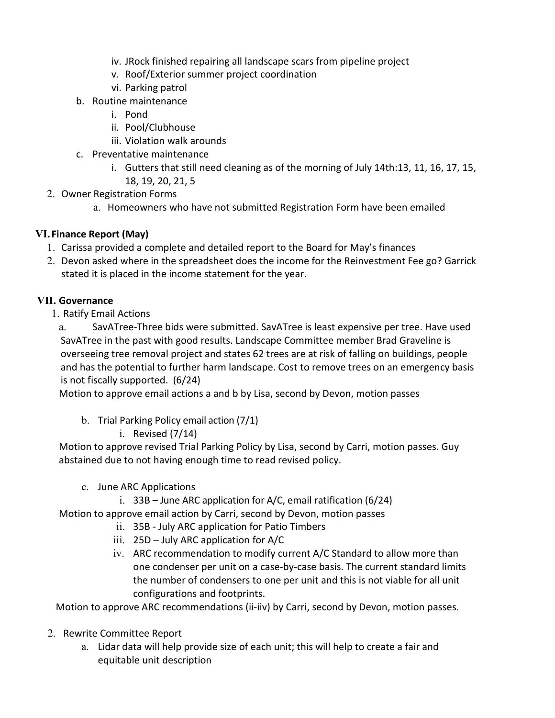- iv. JRock finished repairing all landscape scars from pipeline project
- v. Roof/Exterior summer project coordination
- vi. Parking patrol
- b. Routine maintenance
	- i. Pond
	- ii. Pool/Clubhouse
	- iii. Violation walk arounds
- c. Preventative maintenance
	- i. Gutters that still need cleaning as of the morning of July 14th:13, 11, 16, 17, 15, 18, 19, 20, 21, 5
- 2. Owner Registration Forms
	- a. Homeowners who have not submitted Registration Form have been emailed

# **VI. Finance Report (May)**

- 1. Carissa provided a complete and detailed report to the Board for May's finances
- 2. Devon asked where in the spreadsheet does the income for the Reinvestment Fee go? Garrick stated it is placed in the income statement for the year.

# **VII. Governance**

1. Ratify Email Actions

a. SavATree-Three bids were submitted. SavATree is least expensive per tree. Have used SavATree in the past with good results. Landscape Committee member Brad Graveline is overseeing tree removal project and states 62 trees are at risk of falling on buildings, people and has the potential to further harm landscape. Cost to remove trees on an emergency basis is not fiscally supported. (6/24)

Motion to approve email actions a and b by Lisa, second by Devon, motion passes

- b. Trial Parking Policy email action (7/1)
	- i. Revised (7/14)

Motion to approve revised Trial Parking Policy by Lisa, second by Carri, motion passes. Guy abstained due to not having enough time to read revised policy.

- c. June ARC Applications
	- i.  $33B -$  June ARC application for A/C, email ratification (6/24)

Motion to approve email action by Carri, second by Devon, motion passes

- ii. 35B July ARC application for Patio Timbers
- iii. 25D July ARC application for A/C
- iv. ARC recommendation to modify current A/C Standard to allow more than one condenser per unit on a case-by-case basis. The current standard limits the number of condensers to one per unit and this is not viable for all unit configurations and footprints.

Motion to approve ARC recommendations (ii-iiv) by Carri, second by Devon, motion passes.

- 2. Rewrite Committee Report
	- a. Lidar data will help provide size of each unit; this will help to create a fair and equitable unit description